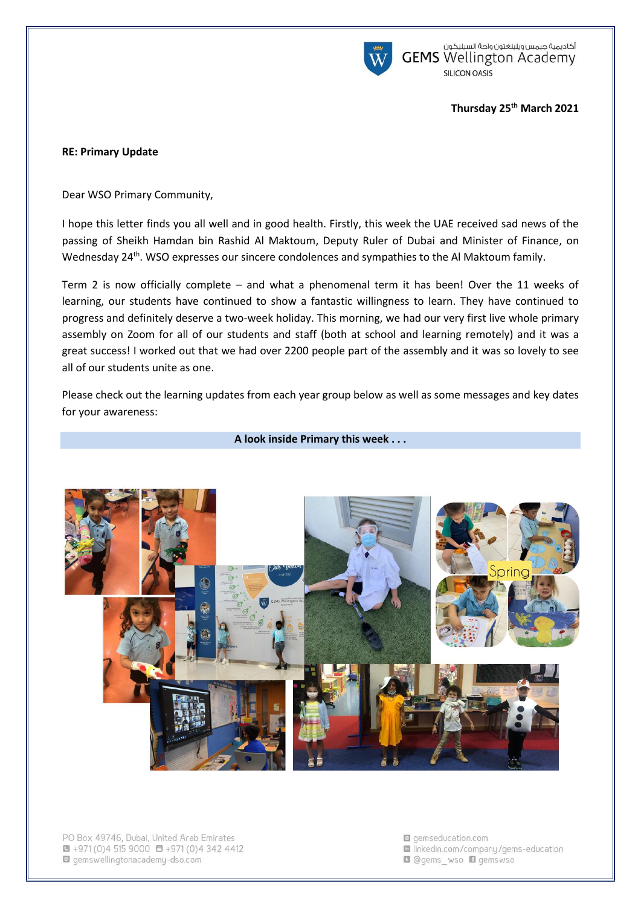

أكاديمية جيمس ويلينغتون واحة السيليكون<br>GEMS Wellington Academy SILICON OASIS

### **Thursday 25th March 2021**

### **RE: Primary Update**

Dear WSO Primary Community,

I hope this letter finds you all well and in good health. Firstly, this week the UAE received sad news of the passing of Sheikh Hamdan bin Rashid Al Maktoum, Deputy Ruler of Dubai and Minister of Finance, on Wednesday 24<sup>th</sup>. WSO expresses our sincere condolences and sympathies to the Al Maktoum family.

Term 2 is now officially complete – and what a phenomenal term it has been! Over the 11 weeks of learning, our students have continued to show a fantastic willingness to learn. They have continued to progress and definitely deserve a two-week holiday. This morning, we had our very first live whole primary assembly on Zoom for all of our students and staff (both at school and learning remotely) and it was a great success! I worked out that we had over 2200 people part of the assembly and it was so lovely to see all of our students unite as one.

Please check out the learning updates from each year group below as well as some messages and key dates for your awareness:

**A look inside Primary this week . . .** 



PO Box 49746, Dubai, United Arab Emirates  $\blacksquare$  +971 (0) 4 515 9000  $\blacksquare$  +971 (0) 4 342 4412 gemswellingtonacademy-dso.com

- gemseducation.com la linkedin.com/company/gems-education
- **Q** @gems wso **D** gemswso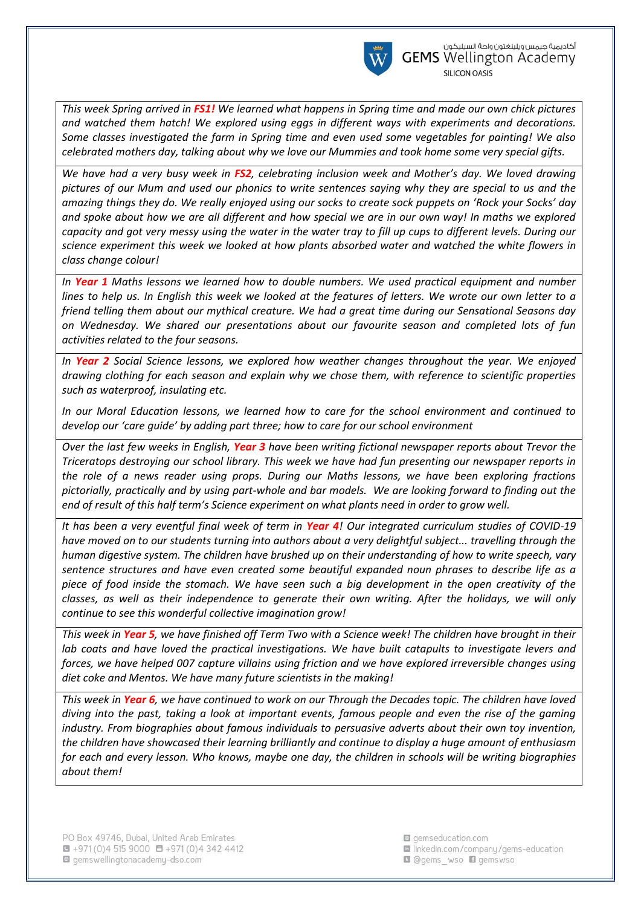

*This week Spring arrived in FS1! We learned what happens in Spring time and made our own chick pictures and watched them hatch! We explored using eggs in different ways with experiments and decorations. Some classes investigated the farm in Spring time and even used some vegetables for painting! We also celebrated mothers day, talking about why we love our Mummies and took home some very special gifts.*

*We have had a very busy week in FS2, celebrating inclusion week and Mother's day. We loved drawing pictures of our Mum and used our phonics to write sentences saying why they are special to us and the amazing things they do. We really enjoyed using our socks to create sock puppets on 'Rock your Socks' day and spoke about how we are all different and how special we are in our own way! In maths we explored capacity and got very messy using the water in the water tray to fill up cups to different levels. During our science experiment this week we looked at how plants absorbed water and watched the white flowers in class change colour!*

*In Year 1 Maths lessons we learned how to double numbers. We used practical equipment and number lines to help us. In English this week we looked at the features of letters. We wrote our own letter to a friend telling them about our mythical creature. We had a great time during our Sensational Seasons day on Wednesday. We shared our presentations about our favourite season and completed lots of fun activities related to the four seasons.*

*In Year 2 Social Science lessons, we explored how weather changes throughout the year. We enjoyed drawing clothing for each season and explain why we chose them, with reference to scientific properties such as waterproof, insulating etc.* 

*In our Moral Education lessons, we learned how to care for the school environment and continued to develop our 'care guide' by adding part three; how to care for our school environment*

*Over the last few weeks in English, Year 3 have been writing fictional newspaper reports about Trevor the Triceratops destroying our school library. This week we have had fun presenting our newspaper reports in the role of a news reader using props. During our Maths lessons, we have been exploring fractions pictorially, practically and by using part-whole and bar models. We are looking forward to finding out the end of result of this half term's Science experiment on what plants need in order to grow well.*

*It has been a very eventful final week of term in Year 4! Our integrated curriculum studies of COVID-19 have moved on to our students turning into authors about a very delightful subject... travelling through the human digestive system. The children have brushed up on their understanding of how to write speech, vary sentence structures and have even created some beautiful expanded noun phrases to describe life as a piece of food inside the stomach. We have seen such a big development in the open creativity of the classes, as well as their independence to generate their own writing. After the holidays, we will only continue to see this wonderful collective imagination grow!*

*This week in Year 5, we have finished off Term Two with a Science week! The children have brought in their*  lab coats and have loved the practical investigations. We have built catapults to investigate levers and *forces, we have helped 007 capture villains using friction and we have explored irreversible changes using diet coke and Mentos. We have many future scientists in the making!*

*This week in Year 6, we have continued to work on our Through the Decades topic. The children have loved diving into the past, taking a look at important events, famous people and even the rise of the gaming industry. From biographies about famous individuals to persuasive adverts about their own toy invention, the children have showcased their learning brilliantly and continue to display a huge amount of enthusiasm for each and every lesson. Who knows, maybe one day, the children in schools will be writing biographies about them!*

gemseducation.com la linkedin.com/company/gems-education Ogems\_wso Dgemswso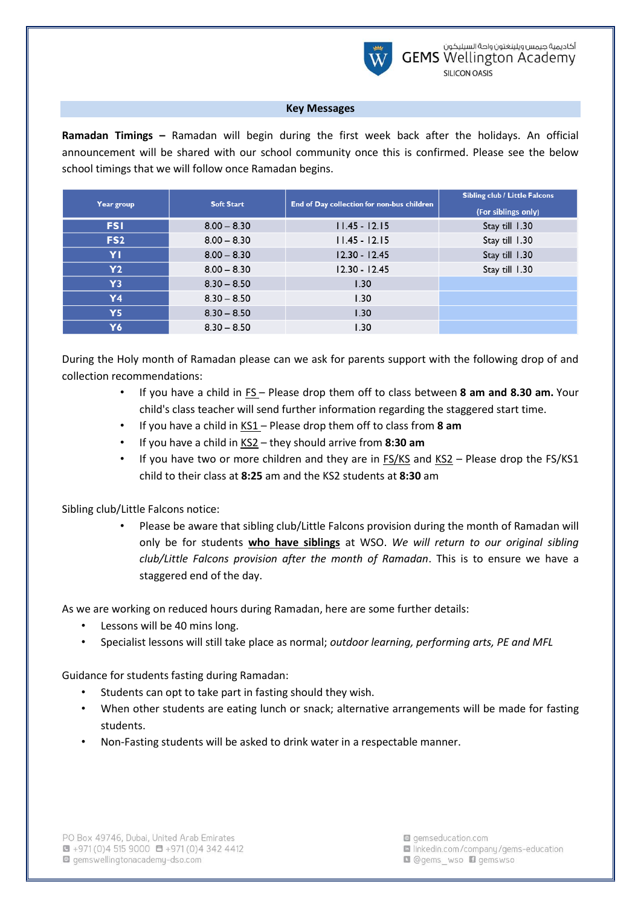

## **Key Messages**

**Ramadan Timings –** Ramadan will begin during the first week back after the holidays. An official announcement will be shared with our school community once this is confirmed. Please see the below school timings that we will follow once Ramadan begins.

| Year group      | <b>Soft Start</b> | End of Day collection for non-bus children | <b>Sibling club / Little Falcons</b> |
|-----------------|-------------------|--------------------------------------------|--------------------------------------|
|                 |                   |                                            | (For siblings only)                  |
| <b>FSI</b>      | $8.00 - 8.30$     | $11.45 - 12.15$                            | Stay till 1.30                       |
| FS <sub>2</sub> | $8.00 - 8.30$     | $11.45 - 12.15$                            | Stay till 1.30                       |
| ΥI              | $8.00 - 8.30$     | $12.30 - 12.45$                            | Stay till 1.30                       |
| <b>Y2</b>       | $8.00 - 8.30$     | $12.30 - 12.45$                            | Stay till 1.30                       |
| Y3              | $8.30 - 8.50$     | 1.30                                       |                                      |
| Y4              | $8.30 - 8.50$     | 1.30                                       |                                      |
| Υ5              | $8.30 - 8.50$     | 1.30                                       |                                      |
| Υ6              | $8.30 - 8.50$     | 1.30                                       |                                      |

During the Holy month of Ramadan please can we ask for parents support with the following drop of and collection recommendations:

- If you have a child in FS Please drop them off to class between **8 am and 8.30 am.** Your child's class teacher will send further information regarding the staggered start time.
- If you have a child in KS1 Please drop them off to class from **8 am**
- If you have a child in KS2 they should arrive from **8:30 am**
- If you have two or more children and they are in FS/KS and KS2 Please drop the FS/KS1 child to their class at **8:25** am and the KS2 students at **8:30** am

# Sibling club/Little Falcons notice:

• Please be aware that sibling club/Little Falcons provision during the month of Ramadan will only be for students **who have siblings** at WSO. *We will return to our original sibling club/Little Falcons provision after the month of Ramadan*. This is to ensure we have a staggered end of the day.

As we are working on reduced hours during Ramadan, here are some further details:

- Lessons will be 40 mins long.
- Specialist lessons will still take place as normal; *outdoor learning, performing arts, PE and MFL*

Guidance for students fasting during Ramadan:

- Students can opt to take part in fasting should they wish.
- When other students are eating lunch or snack; alternative arrangements will be made for fasting students.
- Non-Fasting students will be asked to drink water in a respectable manner.